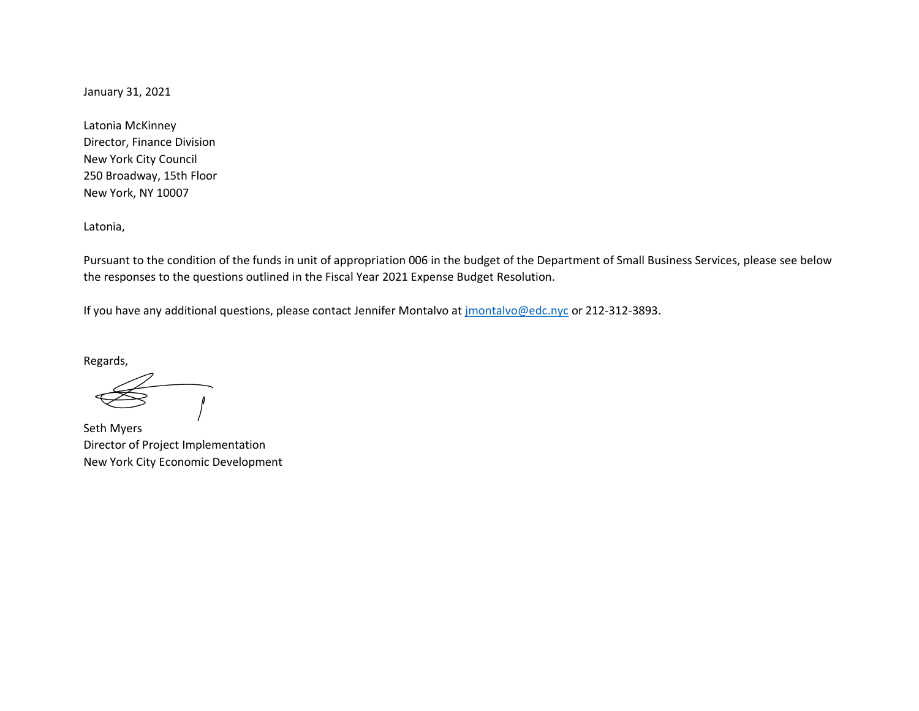January 31, 2021

Latonia McKinney Director, Finance Division New York City Council 250 Broadway, 15th Floor New York, NY 10007

Latonia,

Pursuant to the condition of the funds in unit of appropriation 006 in the budget of the Department of Small Business Services, please see below the responses to the questions outlined in the Fiscal Year 2021 Expense Budget Resolution.

If you have any additional questions, please contact Jennifer Montalvo at [jmontalvo@edc.nyc](mailto:jmontalvo@edc.nyc) or 212-312-3893.

Regards,

Seth Myers Director of Project Implementation New York City Economic Development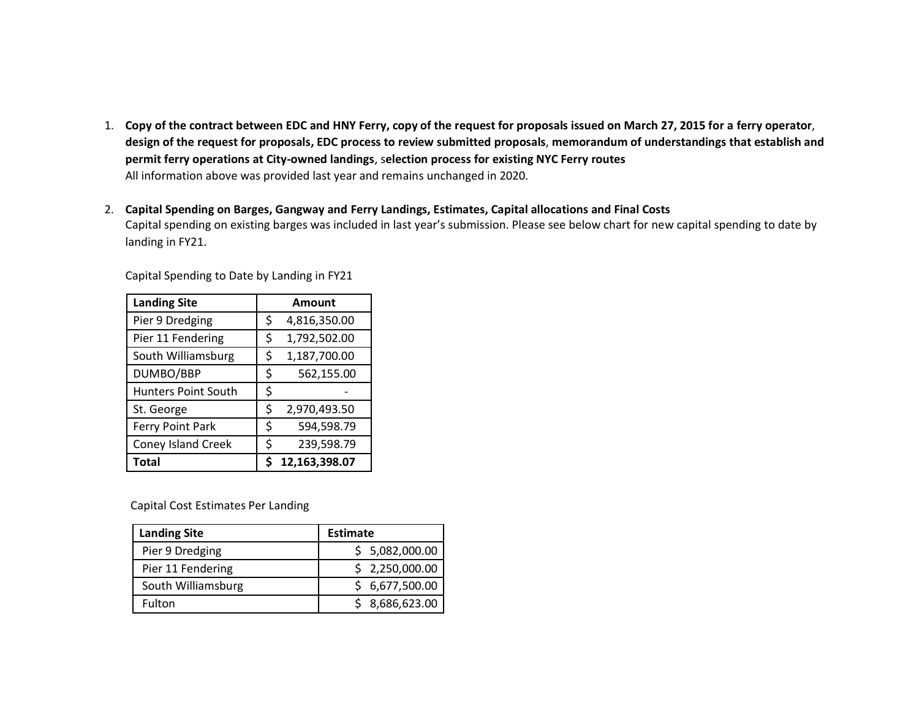- 1. **Copy of the contract between EDC and HNY Ferry, copy of the request for proposals issued on March 27, 2015 for a ferry operator**, **design of the request for proposals, EDC process to review submitted proposals**, **memorandum of understandings that establish and permit ferry operations at City-owned landings**, s**election process for existing NYC Ferry routes** All information above was provided last year and remains unchanged in 2020.
- 2. **Capital Spending on Barges, Gangway and Ferry Landings, Estimates, Capital allocations and Final Costs** Capital spending on existing barges was included in last year's submission. Please see below chart for new capital spending to date by landing in FY21.

| <b>Landing Site</b>        | <b>Amount</b>      |
|----------------------------|--------------------|
| Pier 9 Dredging            | \$<br>4,816,350.00 |
| Pier 11 Fendering          | \$<br>1,792,502.00 |
| South Williamsburg         | 1,187,700.00<br>\$ |
| DUMBO/BBP                  | \$<br>562,155.00   |
| <b>Hunters Point South</b> | \$                 |
| St. George                 | \$<br>2,970,493.50 |
| Ferry Point Park           | 594,598.79<br>\$   |
| <b>Coney Island Creek</b>  | 239,598.79<br>\$   |
| <b>Total</b>               | 12,163,398.07      |

Capital Spending to Date by Landing in FY21

Capital Cost Estimates Per Landing

| <b>Landing Site</b> | <b>Estimate</b> |
|---------------------|-----------------|
| Pier 9 Dredging     | \$5,082,000.00  |
| Pier 11 Fendering   | \$2,250,000.00  |
| South Williamsburg  | \$6,677,500.00  |
| Fulton              | \$8,686,623.00  |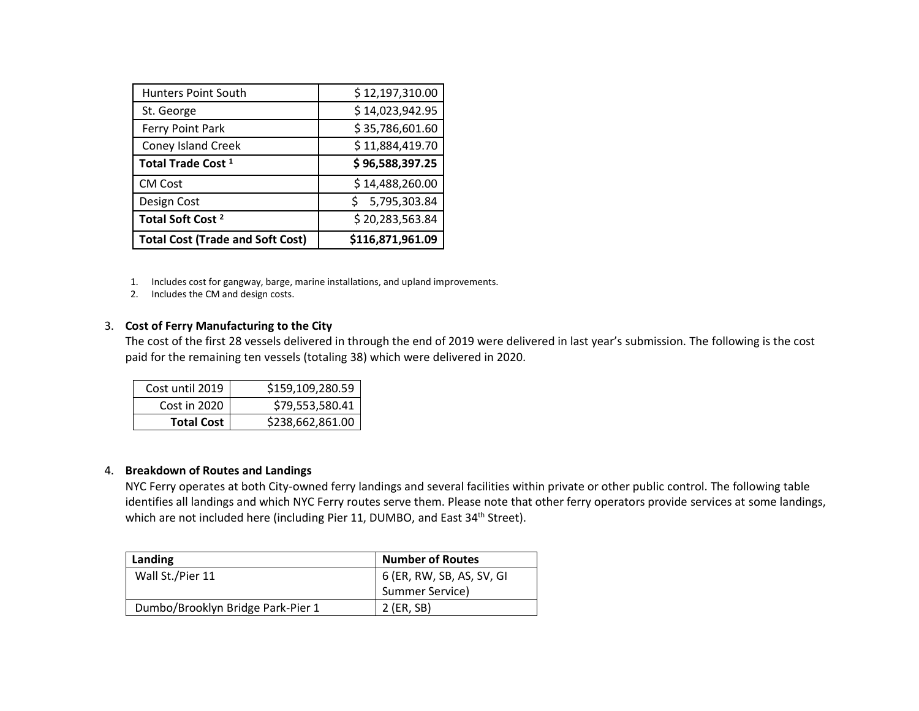| Hunters Point South                     | \$12,197,310.00  |
|-----------------------------------------|------------------|
| St. George                              | \$14,023,942.95  |
| Ferry Point Park                        | \$35,786,601.60  |
| <b>Coney Island Creek</b>               | \$11,884,419.70  |
| Total Trade Cost <sup>1</sup>           | \$96,588,397.25  |
| <b>CM Cost</b>                          | \$14,488,260.00  |
| Design Cost                             | 5,795,303.84     |
| Total Soft Cost <sup>2</sup>            | \$20,283,563.84  |
| <b>Total Cost (Trade and Soft Cost)</b> | \$116,871,961.09 |

- 1. Includes cost for gangway, barge, marine installations, and upland improvements.
- 2. Includes the CM and design costs.

# 3. **Cost of Ferry Manufacturing to the City**

The cost of the first 28 vessels delivered in through the end of 2019 were delivered in last year's submission. The following is the cost paid for the remaining ten vessels (totaling 38) which were delivered in 2020.

| Cost until 2019   | \$159,109,280.59 |
|-------------------|------------------|
| Cost in 2020      | \$79,553,580.41  |
| <b>Total Cost</b> | \$238,662,861.00 |

# 4. **Breakdown of Routes and Landings**

NYC Ferry operates at both City-owned ferry landings and several facilities within private or other public control. The following table identifies all landings and which NYC Ferry routes serve them. Please note that other ferry operators provide services at some landings, which are not included here (including Pier 11, DUMBO, and East 34<sup>th</sup> Street).

| Landing                           | <b>Number of Routes</b>      |
|-----------------------------------|------------------------------|
| Wall St./Pier 11                  | 6 (ER, RW, SB, AS, SV, GI    |
|                                   | <sup>1</sup> Summer Service) |
| Dumbo/Brooklyn Bridge Park-Pier 1 | 2 (ER, SB)                   |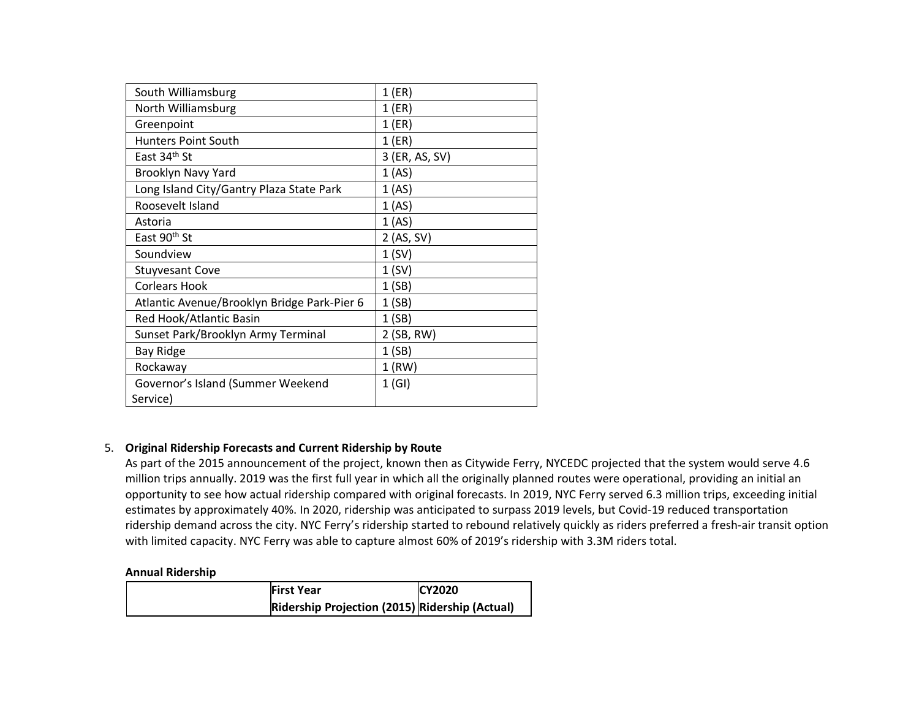| South Williamsburg                          | 1(ER)          |
|---------------------------------------------|----------------|
| North Williamsburg                          | $1$ (ER)       |
| Greenpoint                                  | 1(ER)          |
| <b>Hunters Point South</b>                  | $1$ (ER)       |
| East 34th St                                | 3 (ER, AS, SV) |
| Brooklyn Navy Yard                          | 1 (AS)         |
| Long Island City/Gantry Plaza State Park    | 1(AS)          |
| Roosevelt Island                            | 1(AS)          |
| Astoria                                     | 1 (AS)         |
| East 90 <sup>th</sup> St                    | 2 (AS, SV)     |
| Soundview                                   | 1(SV)          |
| <b>Stuyvesant Cove</b>                      | 1(SV)          |
| <b>Corlears Hook</b>                        | 1(SB)          |
| Atlantic Avenue/Brooklyn Bridge Park-Pier 6 | 1(SB)          |
| Red Hook/Atlantic Basin                     | 1(SB)          |
| Sunset Park/Brooklyn Army Terminal          | 2 (SB, RW)     |
| <b>Bay Ridge</b>                            | 1(SB)          |
| Rockaway                                    | $1$ (RW)       |
| Governor's Island (Summer Weekend           | 1(GI)          |
| Service)                                    |                |

# 5. **Original Ridership Forecasts and Current Ridership by Route**

As part of the 2015 announcement of the project, known then as Citywide Ferry, NYCEDC projected that the system would serve 4.6 million trips annually. 2019 was the first full year in which all the originally planned routes were operational, providing an initial an opportunity to see how actual ridership compared with original forecasts. In 2019, NYC Ferry served 6.3 million trips, exceeding initial estimates by approximately 40%. In 2020, ridership was anticipated to surpass 2019 levels, but Covid-19 reduced transportation ridership demand across the city. NYC Ferry's ridership started to rebound relatively quickly as riders preferred a fresh-air transit option with limited capacity. NYC Ferry was able to capture almost 60% of 2019's ridership with 3.3M riders total.

#### **Annual Ridership**

| <b>First Year</b>                              | <b>CY2020</b> |
|------------------------------------------------|---------------|
| Ridership Projection (2015) Ridership (Actual) |               |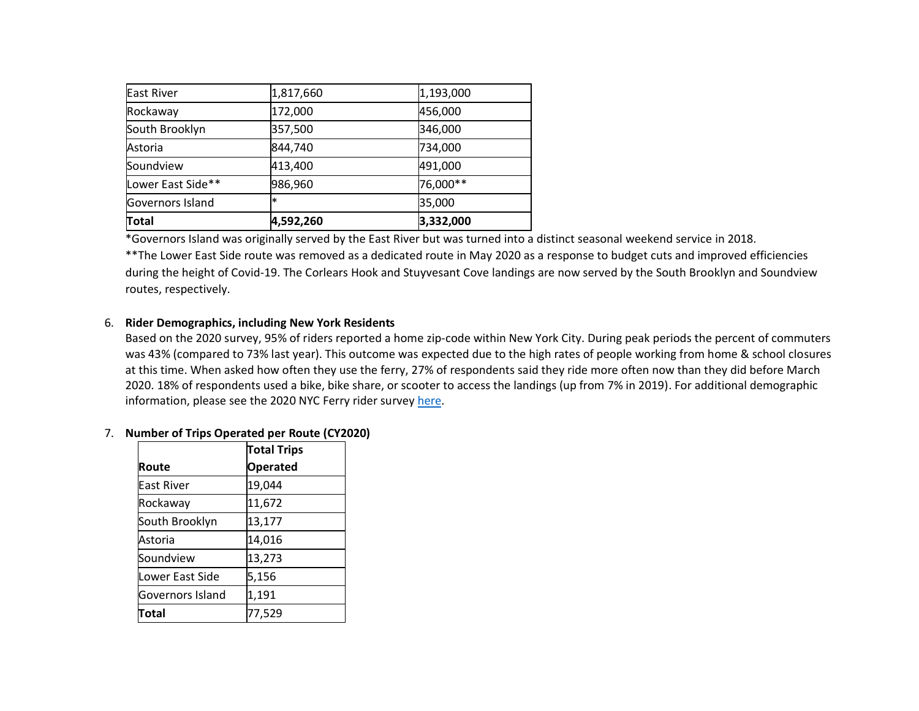| Total             | 4,592,260 | 3,332,000 |
|-------------------|-----------|-----------|
| Governors Island  | $\ast$    | 35,000    |
| Lower East Side** | 986,960   | 76,000**  |
| Soundview         | 413,400   | 491,000   |
| Astoria           | 844,740   | 734,000   |
| South Brooklyn    | 357,500   | 346,000   |
| Rockaway          | 172,000   | 456,000   |
| <b>East River</b> | 1,817,660 | 1,193,000 |

\*Governors Island was originally served by the East River but was turned into a distinct seasonal weekend service in 2018. \*\*The Lower East Side route was removed as a dedicated route in May 2020 as a response to budget cuts and improved efficiencies during the height of Covid-19. The Corlears Hook and Stuyvesant Cove landings are now served by the South Brooklyn and Soundview routes, respectively.

# 6. **Rider Demographics, including New York Residents**

Based on the 2020 survey, 95% of riders reported a home zip-code within New York City. During peak periods the percent of commuters was 43% (compared to 73% last year). This outcome was expected due to the high rates of people working from home & school closures at this time. When asked how often they use the ferry, 27% of respondents said they ride more often now than they did before March 2020. 18% of respondents used a bike, bike share, or scooter to access the landings (up from 7% in 2019). For additional demographic information, please see the 2020 NYC Ferry rider survey [here.](https://images.ferry.nyc/wp-content/uploads/2021/01/04103413/2020-12-17_NYC-Ferry-Summer-Survey-Results-1.pdf?_ga=2.215871059.51489029.1610039310-355501737.1602192132)

### 7. **Number of Trips Operated per Route (CY2020)**

|                   | <b>Total Trips</b> |
|-------------------|--------------------|
| Route             | <b>Operated</b>    |
| <b>East River</b> | 19,044             |
| Rockaway          | 11,672             |
| South Brooklyn    | 13,177             |
| Astoria           | 14,016             |
| Soundview         | 13,273             |
| Lower East Side   | 5,156              |
| Governors Island  | 1,191              |
| Total             | 77,529             |